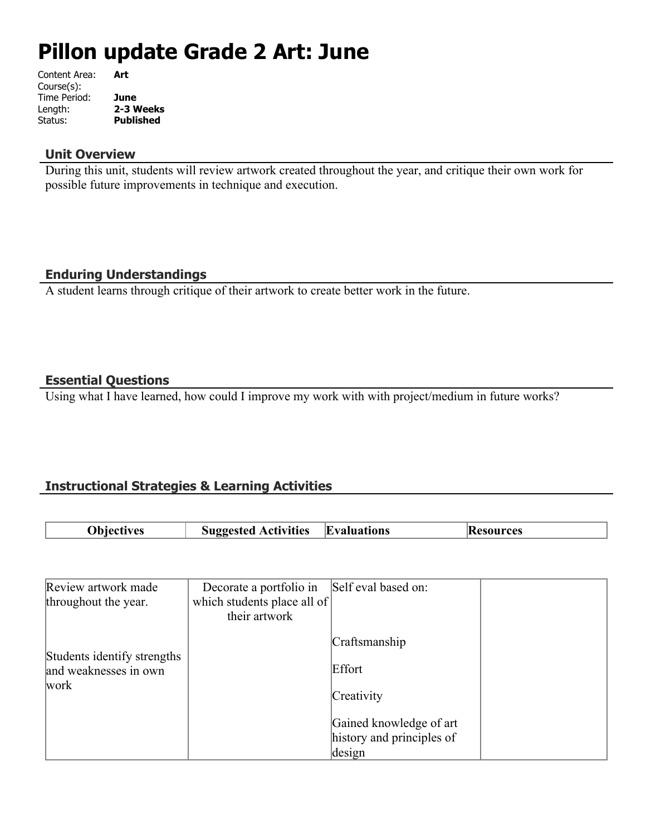# **Pillon update Grade 2 Art: June**

| Content Area: | Art              |
|---------------|------------------|
| Course(s):    |                  |
| Time Period:  | June             |
| Length:       | 2-3 Weeks        |
| Status:       | <b>Published</b> |
|               |                  |

#### **Unit Overview**

During this unit, students will review artwork created throughout the year, and critique their own work for possible future improvements in technique and execution.

# **Enduring Understandings**

A student learns through critique of their artwork to create better work in the future.

## **Essential Questions**

Using what I have learned, how could I improve my work with with project/medium in future works?

## **Instructional Strategies & Learning Activities**

| <b>Objectives</b> | <b>Suggested Activities Evaluations</b> | <b>Resources</b> |
|-------------------|-----------------------------------------|------------------|

| Review artwork made                                  | Decorate a portfolio in     | Self eval based on:       |  |
|------------------------------------------------------|-----------------------------|---------------------------|--|
| throughout the year.                                 | which students place all of |                           |  |
|                                                      | their artwork               |                           |  |
|                                                      |                             | Craftsmanship             |  |
| Students identify strengths<br>and weaknesses in own |                             | Effort                    |  |
| work                                                 |                             | Creativity                |  |
|                                                      |                             | Gained knowledge of art   |  |
|                                                      |                             | history and principles of |  |
|                                                      |                             | design                    |  |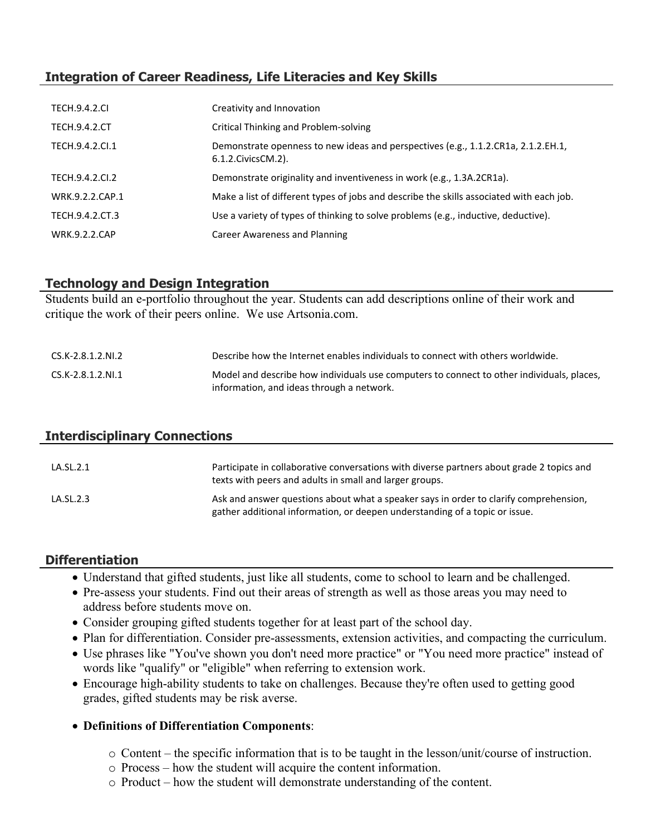# **Integration of Career Readiness, Life Literacies and Key Skills**

| <b>TECH.9.4.2.CI</b> | Creativity and Innovation                                                                                  |
|----------------------|------------------------------------------------------------------------------------------------------------|
| <b>TECH.9.4.2.CT</b> | Critical Thinking and Problem-solving                                                                      |
| TECH.9.4.2.Cl.1      | Demonstrate openness to new ideas and perspectives (e.g., 1.1.2.CR1a, 2.1.2.EH.1,<br>6.1.2. Civics CM. 2). |
| TECH.9.4.2.CI.2      | Demonstrate originality and inventiveness in work (e.g., 1.3A.2CR1a).                                      |
| WRK.9.2.2.CAP.1      | Make a list of different types of jobs and describe the skills associated with each job.                   |
| TECH.9.4.2.CT.3      | Use a variety of types of thinking to solve problems (e.g., inductive, deductive).                         |
| <b>WRK.9.2.2.CAP</b> | Career Awareness and Planning                                                                              |

## **Technology and Design Integration**

Students build an e-portfolio throughout the year. Students can add descriptions online of their work and critique the work of their peers online. We use Artsonia.com.

| CS.K-2.8.1.2.NI.2 | Describe how the Internet enables individuals to connect with others worldwide.                                                        |
|-------------------|----------------------------------------------------------------------------------------------------------------------------------------|
| CS.K-2.8.1.2.NI.1 | Model and describe how individuals use computers to connect to other individuals, places,<br>information, and ideas through a network. |

## **Interdisciplinary Connections**

| LA.SL.2.1 | Participate in collaborative conversations with diverse partners about grade 2 topics and<br>texts with peers and adults in small and larger groups.                 |
|-----------|----------------------------------------------------------------------------------------------------------------------------------------------------------------------|
| LA.SL.2.3 | Ask and answer questions about what a speaker says in order to clarify comprehension,<br>gather additional information, or deepen understanding of a topic or issue. |

## **Differentiation**

- Understand that gifted students, just like all students, come to school to learn and be challenged.
- Pre-assess your students. Find out their areas of strength as well as those areas you may need to address before students move on.
- Consider grouping gifted students together for at least part of the school day.
- Plan for differentiation. Consider pre-assessments, extension activities, and compacting the curriculum.
- Use phrases like "You've shown you don't need more practice" or "You need more practice" instead of words like "qualify" or "eligible" when referring to extension work.
- Encourage high-ability students to take on challenges. Because they're often used to getting good grades, gifted students may be risk averse.

## **Definitions of Differentiation Components**:

- o Content the specific information that is to be taught in the lesson/unit/course of instruction.
- o Process how the student will acquire the content information.
- o Product how the student will demonstrate understanding of the content.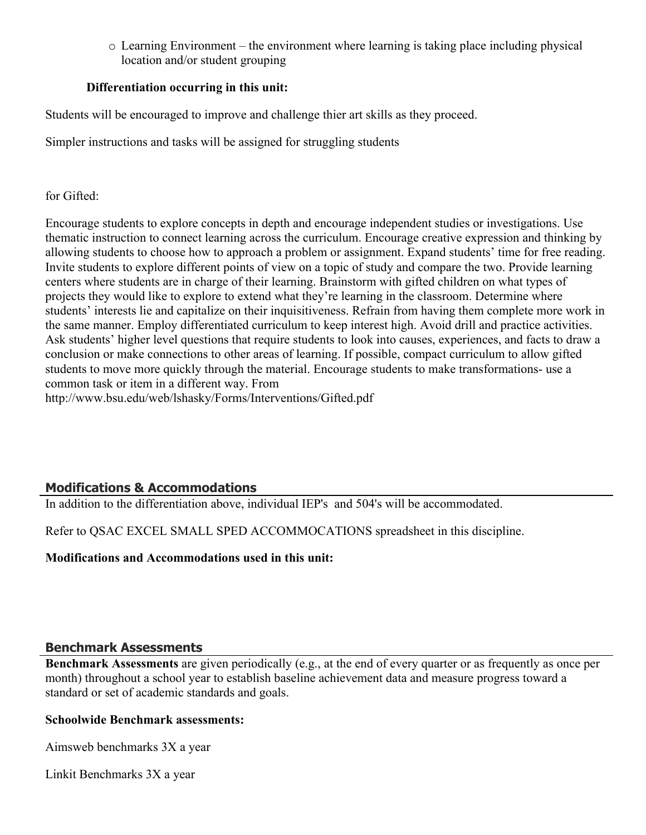o Learning Environment – the environment where learning is taking place including physical location and/or student grouping

## **Differentiation occurring in this unit:**

Students will be encouraged to improve and challenge thier art skills as they proceed.

Simpler instructions and tasks will be assigned for struggling students

## for Gifted:

Encourage students to explore concepts in depth and encourage independent studies or investigations. Use thematic instruction to connect learning across the curriculum. Encourage creative expression and thinking by allowing students to choose how to approach a problem or assignment. Expand students' time for free reading. Invite students to explore different points of view on a topic of study and compare the two. Provide learning centers where students are in charge of their learning. Brainstorm with gifted children on what types of projects they would like to explore to extend what they're learning in the classroom. Determine where students' interests lie and capitalize on their inquisitiveness. Refrain from having them complete more work in the same manner. Employ differentiated curriculum to keep interest high. Avoid drill and practice activities. Ask students' higher level questions that require students to look into causes, experiences, and facts to draw a conclusion or make connections to other areas of learning. If possible, compact curriculum to allow gifted students to move more quickly through the material. Encourage students to make transformations- use a common task or item in a different way. From

http://www.bsu.edu/web/lshasky/Forms/Interventions/Gifted.pdf

# **Modifications & Accommodations**

In addition to the differentiation above, individual IEP's and 504's will be accommodated.

Refer to QSAC EXCEL SMALL SPED ACCOMMOCATIONS spreadsheet in this discipline.

**Modifications and Accommodations used in this unit:**

## **Benchmark Assessments**

**Benchmark Assessments** are given periodically (e.g., at the end of every quarter or as frequently as once per month) throughout a school year to establish baseline achievement data and measure progress toward a standard or set of academic standards and goals.

## **Schoolwide Benchmark assessments:**

Aimsweb benchmarks 3X a year

Linkit Benchmarks 3X a year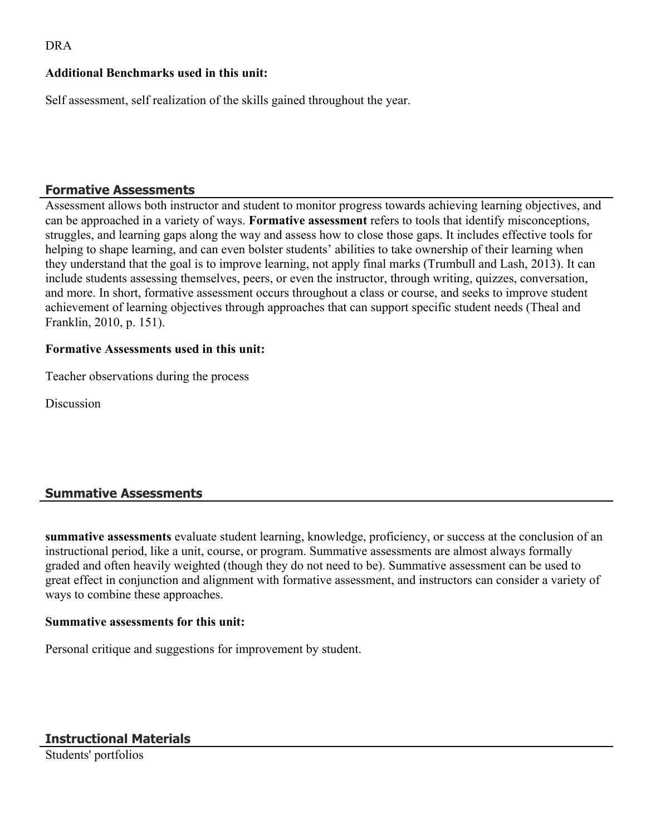## DRA

## **Additional Benchmarks used in this unit:**

Self assessment, self realization of the skills gained throughout the year.

## **Formative Assessments**

Assessment allows both instructor and student to monitor progress towards achieving learning objectives, and can be approached in a variety of ways. **Formative assessment** refers to tools that identify misconceptions, struggles, and learning gaps along the way and assess how to close those gaps. It includes effective tools for helping to shape learning, and can even bolster students' abilities to take ownership of their learning when they understand that the goal is to improve learning, not apply final marks (Trumbull and Lash, 2013). It can include students assessing themselves, peers, or even the instructor, through writing, quizzes, conversation, and more. In short, formative assessment occurs throughout a class or course, and seeks to improve student achievement of learning objectives through approaches that can support specific student needs (Theal and Franklin, 2010, p. 151).

## **Formative Assessments used in this unit:**

Teacher observations during the process

**Discussion** 

## **Summative Assessments**

**summative assessments** evaluate student learning, knowledge, proficiency, or success at the conclusion of an instructional period, like a unit, course, or program. Summative assessments are almost always formally graded and often heavily weighted (though they do not need to be). Summative assessment can be used to great effect in conjunction and alignment with formative assessment, and instructors can consider a variety of ways to combine these approaches.

#### **Summative assessments for this unit:**

Personal critique and suggestions for improvement by student.